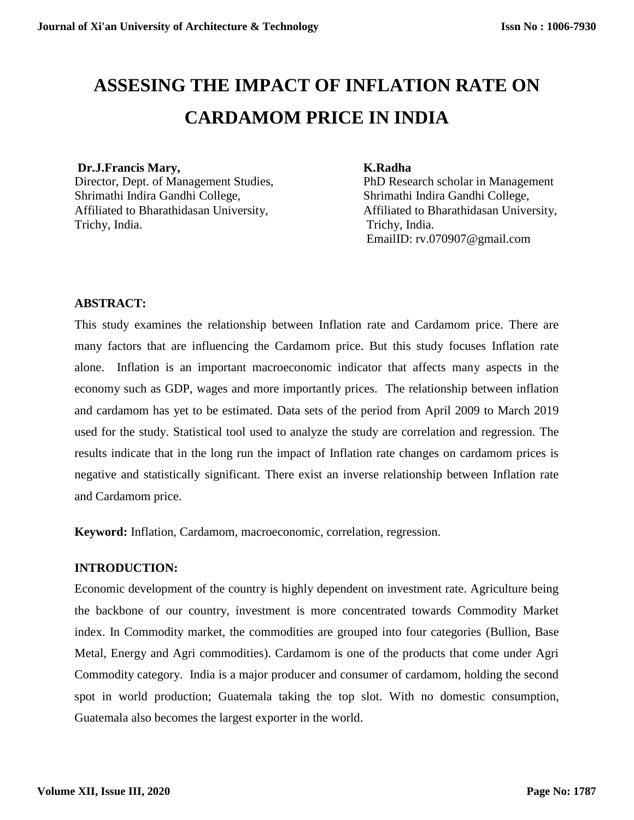# **ASSESING THE IMPACT OF INFLATION RATE ON CARDAMOM PRICE IN INDIA**

# **Dr.J.Francis Mary, K.Radha**

Director, Dept. of Management Studies, PhD Research scholar in Management Shrimathi Indira Gandhi College, Shrimathi Indira Gandhi College, Affiliated to Bharathidasan University, Affiliated to Bharathidasan University, Trichy, India. Trichy, India.

EmailID: [rv.070907@gmail.com](mailto:rv.070907@gmail.com)

# **ABSTRACT:**

This study examines the relationship between Inflation rate and Cardamom price. There are many factors that are influencing the Cardamom price. But this study focuses Inflation rate alone. Inflation is an important macroeconomic indicator that affects many aspects in the economy such as GDP, wages and more importantly prices. The relationship between inflation and cardamom has yet to be estimated. Data sets of the period from April 2009 to March 2019 used for the study. Statistical tool used to analyze the study are correlation and regression. The results indicate that in the long run the impact of Inflation rate changes on cardamom prices is negative and statistically significant. There exist an inverse relationship between Inflation rate and Cardamom price.

**Keyword:** Inflation, Cardamom, macroeconomic, correlation, regression.

#### **INTRODUCTION:**

Economic development of the country is highly dependent on investment rate. Agriculture being the backbone of our country, investment is more concentrated towards Commodity Market index. In Commodity market, the commodities are grouped into four categories (Bullion, Base Metal, Energy and Agri commodities). Cardamom is one of the products that come under Agri Commodity category. India is a major producer and consumer of cardamom, holding the second spot in world production; Guatemala taking the top slot. With no domestic consumption, Guatemala also becomes the largest exporter in the world.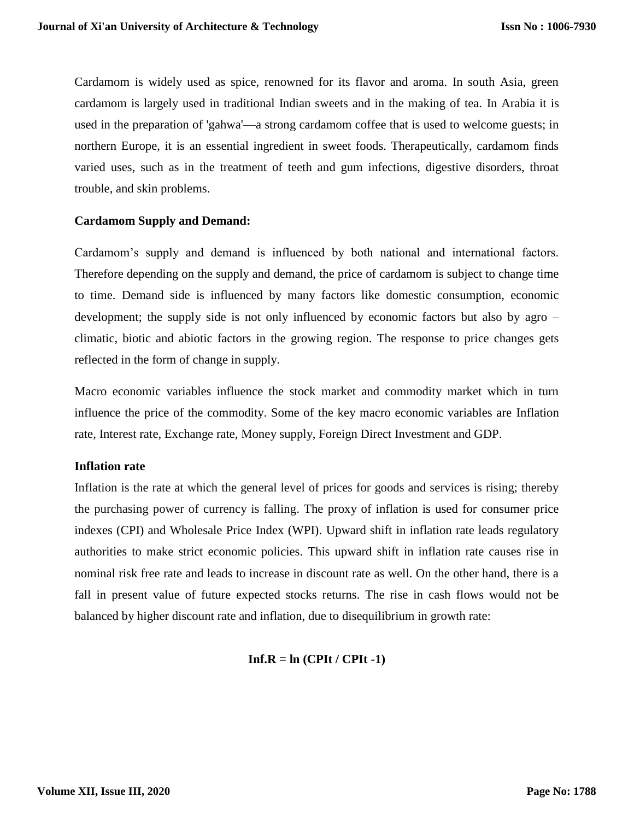Cardamom is widely used as spice, renowned for its flavor and aroma. In south Asia, green cardamom is largely used in traditional Indian sweets and in the making of tea. In Arabia it is used in the preparation of 'gahwa'—a strong cardamom coffee that is used to welcome guests; in northern Europe, it is an essential ingredient in sweet foods. Therapeutically, cardamom finds varied uses, such as in the treatment of teeth and gum infections, digestive disorders, throat trouble, and skin problems.

#### **Cardamom Supply and Demand:**

Cardamom's supply and demand is influenced by both national and international factors. Therefore depending on the supply and demand, the price of cardamom is subject to change time to time. Demand side is influenced by many factors like domestic consumption, economic development; the supply side is not only influenced by economic factors but also by agro – climatic, biotic and abiotic factors in the growing region. The response to price changes gets reflected in the form of change in supply.

Macro economic variables influence the stock market and commodity market which in turn influence the price of the commodity. Some of the key macro economic variables are Inflation rate, Interest rate, Exchange rate, Money supply, Foreign Direct Investment and GDP.

#### **Inflation rate**

Inflation is the rate at which the general level of prices for goods and services is rising; thereby the purchasing power of currency is falling. The proxy of inflation is used for consumer price indexes (CPI) and Wholesale Price Index (WPI). Upward shift in inflation rate leads regulatory authorities to make strict economic policies. This upward shift in inflation rate causes rise in nominal risk free rate and leads to increase in discount rate as well. On the other hand, there is a fall in present value of future expected stocks returns. The rise in cash flows would not be balanced by higher discount rate and inflation, due to disequilibrium in growth rate:

#### $Inf.R = In (CPIt / CPIt -1)$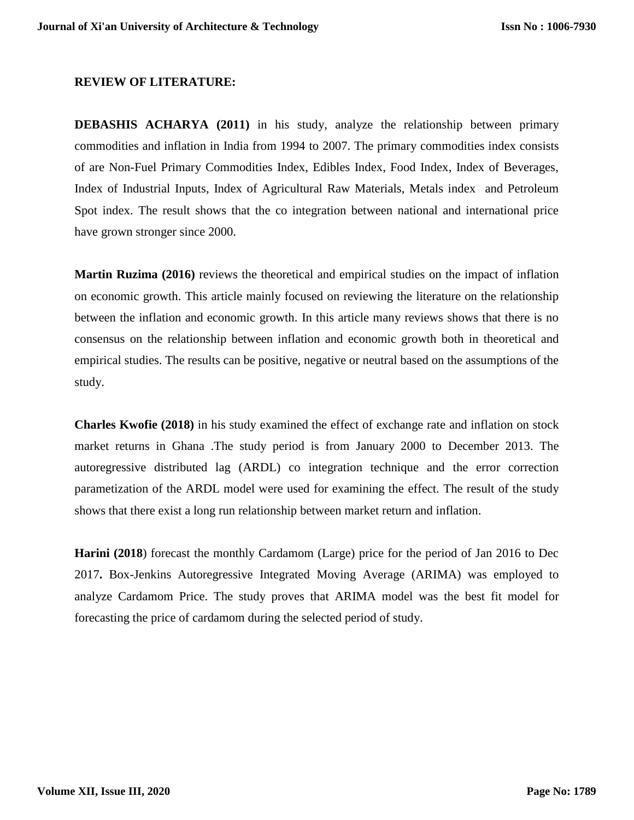#### **REVIEW OF LITERATURE:**

**DEBASHIS ACHARYA (2011)** in his study, analyze the relationship between primary commodities and inflation in India from 1994 to 2007. The primary commodities index consists of are Non-Fuel Primary Commodities Index, Edibles Index, Food Index, Index of Beverages, Index of Industrial Inputs, Index of Agricultural Raw Materials, Metals index and Petroleum Spot index. The result shows that the co integration between national and international price have grown stronger since 2000.

**Martin Ruzima (2016)** reviews the theoretical and empirical studies on the impact of inflation on economic growth. This article mainly focused on reviewing the literature on the relationship between the inflation and economic growth. In this article many reviews shows that there is no consensus on the relationship between inflation and economic growth both in theoretical and empirical studies. The results can be positive, negative or neutral based on the assumptions of the study.

**Charles Kwofie (2018)** in his study examined the effect of exchange rate and inflation on stock market returns in Ghana .The study period is from January 2000 to December 2013. The autoregressive distributed lag (ARDL) co integration technique and the error correction parametization of the ARDL model were used for examining the effect. The result of the study shows that there exist a long run relationship between market return and inflation.

**Harini (2018**) forecast the monthly Cardamom (Large) price for the period of Jan 2016 to Dec 2017**.** Box-Jenkins Autoregressive Integrated Moving Average (ARIMA) was employed to analyze Cardamom Price. The study proves that ARIMA model was the best fit model for forecasting the price of cardamom during the selected period of study.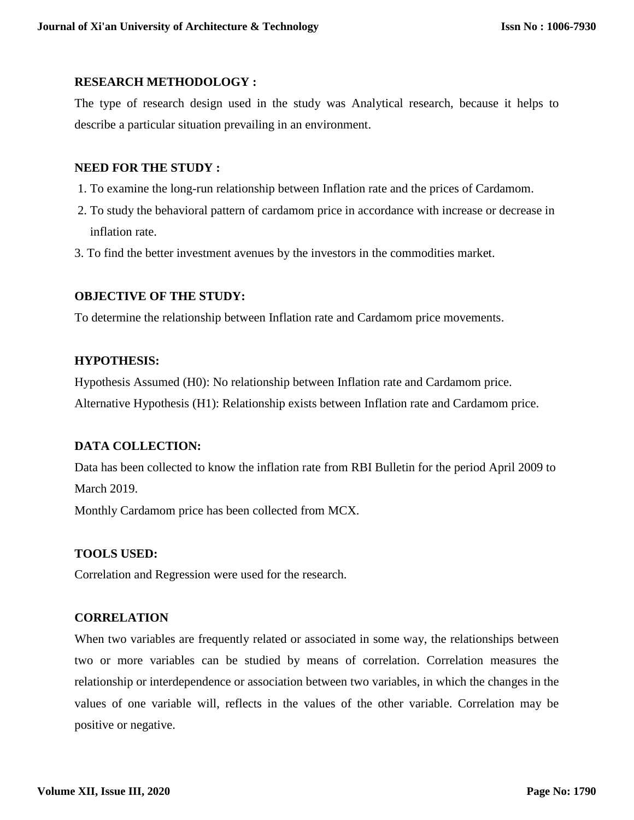# **RESEARCH METHODOLOGY :**

The type of research design used in the study was Analytical research, because it helps to describe a particular situation prevailing in an environment.

# **NEED FOR THE STUDY :**

- 1. To examine the long-run relationship between Inflation rate and the prices of Cardamom.
- 2. To study the behavioral pattern of cardamom price in accordance with increase or decrease in inflation rate.
- 3. To find the better investment avenues by the investors in the commodities market.

# **OBJECTIVE OF THE STUDY:**

To determine the relationship between Inflation rate and Cardamom price movements.

# **HYPOTHESIS:**

Hypothesis Assumed (H0): No relationship between Inflation rate and Cardamom price. Alternative Hypothesis (H1): Relationship exists between Inflation rate and Cardamom price.

# **DATA COLLECTION:**

Data has been collected to know the inflation rate from RBI Bulletin for the period April 2009 to March 2019.

Monthly Cardamom price has been collected from MCX.

# **TOOLS USED:**

Correlation and Regression were used for the research.

# **CORRELATION**

When two variables are frequently related or associated in some way, the relationships between two or more variables can be studied by means of correlation. Correlation measures the relationship or interdependence or association between two variables, in which the changes in the values of one variable will, reflects in the values of the other variable. Correlation may be positive or negative.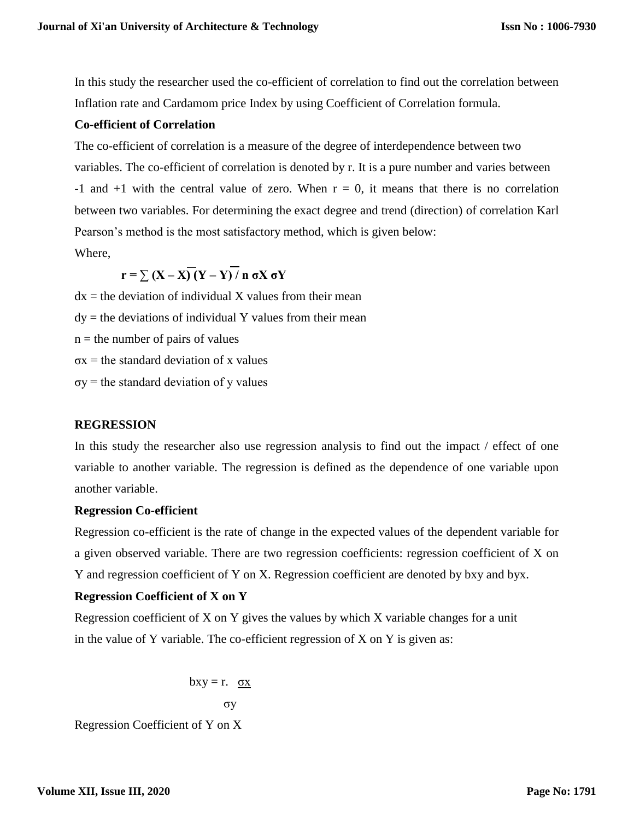In this study the researcher used the co-efficient of correlation to find out the correlation between Inflation rate and Cardamom price Index by using Coefficient of Correlation formula.

# **Co-efficient of Correlation**

The co-efficient of correlation is a measure of the degree of interdependence between two variables. The co-efficient of correlation is denoted by r. It is a pure number and varies between  $-1$  and  $+1$  with the central value of zero. When  $r = 0$ , it means that there is no correlation between two variables. For determining the exact degree and trend (direction) of correlation Karl Pearson's method is the most satisfactory method, which is given below: Where,

 $r = \sum (X - X)(Y - Y)/n$  σX σY

 $dx =$  the deviation of individual X values from their mean  $dy =$  the deviations of individual Y values from their mean  $n =$  the number of pairs of values  $\sigma x$  = the standard deviation of x values  $\sigma y$  = the standard deviation of y values

# **REGRESSION**

In this study the researcher also use regression analysis to find out the impact / effect of one variable to another variable. The regression is defined as the dependence of one variable upon another variable.

#### **Regression Co-efficient**

Regression co-efficient is the rate of change in the expected values of the dependent variable for a given observed variable. There are two regression coefficients: regression coefficient of X on Y and regression coefficient of Y on X. Regression coefficient are denoted by bxy and byx.

# **Regression Coefficient of X on Y**

Regression coefficient of X on Y gives the values by which X variable changes for a unit in the value of Y variable. The co-efficient regression of X on Y is given as:

$$
bxy = r. \quad \underline{\sigma x}
$$

$$
\sigma y
$$

Regression Coefficient of Y on X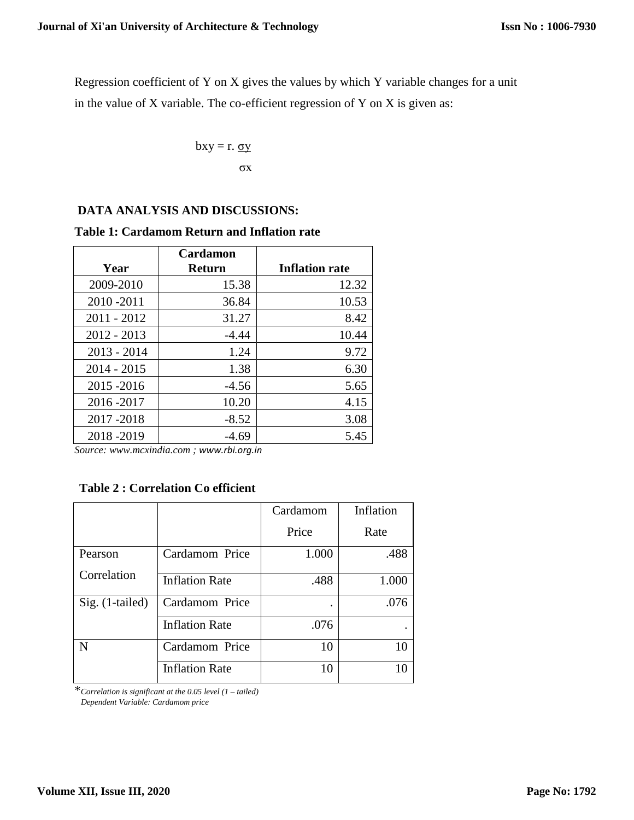Regression coefficient of Y on X gives the values by which Y variable changes for a unit in the value of  $X$  variable. The co-efficient regression of  $Y$  on  $X$  is given as:

$$
bxy = r.\ \underline{\sigma y}
$$

$$
\sigma x
$$

#### **DATA ANALYSIS AND DISCUSSIONS:**

#### **Table 1: Cardamom Return and Inflation rate**

|               | <b>Cardamon</b> |                       |
|---------------|-----------------|-----------------------|
| Year          | <b>Return</b>   | <b>Inflation rate</b> |
| 2009-2010     | 15.38           | 12.32                 |
| 2010-2011     | 36.84           | 10.53                 |
| $2011 - 2012$ | 31.27           | 8.42                  |
| $2012 - 2013$ | $-4.44$         | 10.44                 |
| $2013 - 2014$ | 1.24            | 9.72                  |
| $2014 - 2015$ | 1.38            | 6.30                  |
| 2015 - 2016   | $-4.56$         | 5.65                  |
| 2016-2017     | 10.20           | 4.15                  |
| 2017-2018     | $-8.52$         | 3.08                  |
| 2018-2019     | -4.69           | 5.45                  |

*Source[: www.mcxindia.com](http://www.mcxindia.com/) ; [www.rbi.org.in](http://www.rbi.org.in/)*

# **Table 2 : Correlation Co efficient**

|                 |                       | Cardamom | Inflation |  |
|-----------------|-----------------------|----------|-----------|--|
|                 |                       | Price    | Rate      |  |
| Pearson         | Cardamom Price        | 1.000    | .488      |  |
| Correlation     | <b>Inflation Rate</b> | .488     | 1.000     |  |
| Sig. (1-tailed) | Cardamom Price        | ٠        | .076      |  |
|                 | <b>Inflation Rate</b> | .076     |           |  |
| N               | Cardamom Price        | 10       | 10        |  |
|                 | <b>Inflation Rate</b> | 10       | 10        |  |

\**Correlation is significant at the 0.05 level (1 – tailed)*

 *Dependent Variable: Cardamom price*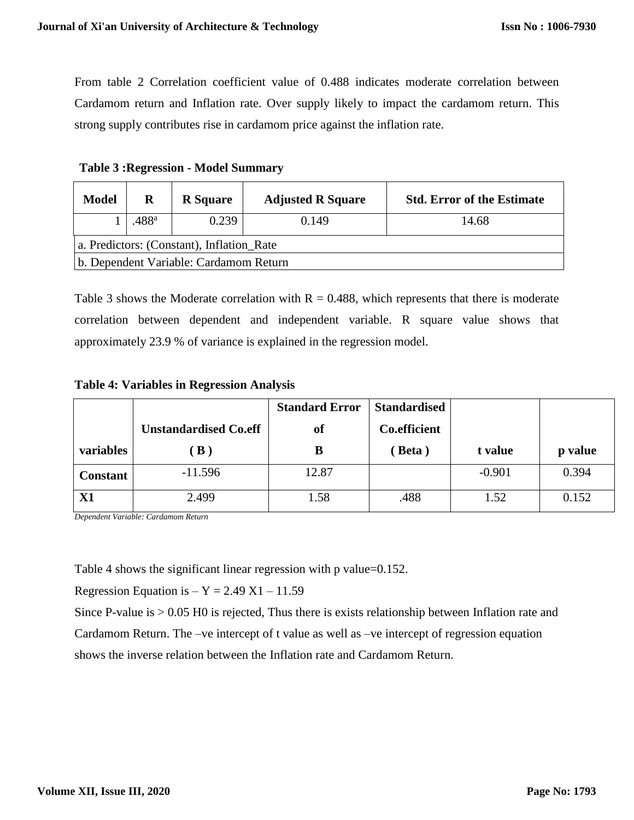From table 2 Correlation coefficient value of 0.488 indicates moderate correlation between Cardamom return and Inflation rate. Over supply likely to impact the cardamom return. This strong supply contributes rise in cardamom price against the inflation rate.

| <b>Model</b>                              | R                 | <b>R</b> Square | <b>Adjusted R Square</b> | <b>Std. Error of the Estimate</b> |  |  |
|-------------------------------------------|-------------------|-----------------|--------------------------|-----------------------------------|--|--|
|                                           | .488 <sup>a</sup> | 0.239           | 0.149                    | 14.68                             |  |  |
| a. Predictors: (Constant), Inflation_Rate |                   |                 |                          |                                   |  |  |
| b. Dependent Variable: Cardamom Return    |                   |                 |                          |                                   |  |  |

**Table 3 :Regression - Model Summary**

Table 3 shows the Moderate correlation with  $R = 0.488$ , which represents that there is moderate correlation between dependent and independent variable. R square value shows that approximately 23.9 % of variance is explained in the regression model.

**Table 4: Variables in Regression Analysis**

|                 |                              | <b>Standard Error</b> | <b>Standardised</b> |          |         |
|-----------------|------------------------------|-----------------------|---------------------|----------|---------|
|                 | <b>Unstandardised Co.eff</b> | <b>of</b>             | <b>Co.efficient</b> |          |         |
| variables       | $\bf{B}$ )                   | B                     | Beta)               | t value  | p value |
| <b>Constant</b> | $-11.596$                    | 12.87                 |                     | $-0.901$ | 0.394   |
| X1              | 2.499                        | 1.58                  | .488                | 1.52     | 0.152   |

*Dependent Variable: Cardamom Return*

Table 4 shows the significant linear regression with p value=0.152.

Regression Equation is  $- Y = 2.49 X1 - 11.59$ 

Since P-value is > 0.05 H0 is rejected, Thus there is exists relationship between Inflation rate and

Cardamom Return. The –ve intercept of t value as well as –ve intercept of regression equation

shows the inverse relation between the Inflation rate and Cardamom Return.